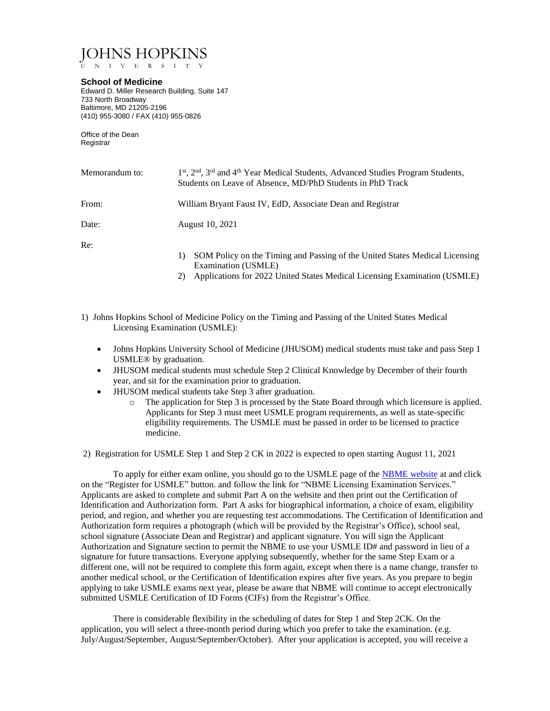JOHNS HOPKINS

U N I V E R S I T Y

## **School of Medicine**

Edward D. Miller Research Building, Suite 147 733 North Broadway Baltimore, MD 21205-2196 (410) 955-3080 / FAX (410) 955-0826

Office of the Dean Registrar

| Memorandum to: | 1 <sup>st</sup> , 2 <sup>nd</sup> , 3 <sup>rd</sup> and 4 <sup>th</sup> Year Medical Students, Advanced Studies Program Students,<br>Students on Leave of Absence, MD/PhD Students in PhD Track |
|----------------|-------------------------------------------------------------------------------------------------------------------------------------------------------------------------------------------------|
| From:          | William Bryant Faust IV, EdD, Associate Dean and Registrar                                                                                                                                      |
| Date:          | <b>August 10, 2021</b>                                                                                                                                                                          |
| Re:            | SOM Policy on the Timing and Passing of the United States Medical Licensing                                                                                                                     |

- Examination (USMLE)
- 2) Applications for 2022 United States Medical Licensing Examination (USMLE)
- 1) Johns Hopkins School of Medicine Policy on the Timing and Passing of the United States Medical Licensing Examination (USMLE):
	- Johns Hopkins University School of Medicine (JHUSOM) medical students must take and pass Step 1 USMLE® by graduation.
	- JHUSOM medical students must schedule Step 2 Clinical Knowledge by December of their fourth year, and sit for the examination prior to graduation.
	- JHUSOM medical students take Step 3 after graduation.
		- o The application for Step 3 is processed by the State Board through which licensure is applied. Applicants for Step 3 must meet USMLE program requirements, as well as state-specific eligibility requirements. The USMLE must be passed in order to be licensed to practice medicine.

2) Registration for USMLE Step 1 and Step 2 CK in 2022 is expected to open starting August 11, 2021

To apply for either exam online, you should go to the USMLE page of the [NBME website](http://www.nbme.org/students/usmle.html) at and click on the "Register for USMLE" button. and follow the link for "NBME Licensing Examination Services." Applicants are asked to complete and submit Part A on the website and then print out the Certification of Identification and Authorization form. Part A asks for biographical information, a choice of exam, eligibility period, and region, and whether you are requesting test accommodations. The Certification of Identification and Authorization form requires a photograph (which will be provided by the Registrar's Office), school seal, school signature (Associate Dean and Registrar) and applicant signature. You will sign the Applicant Authorization and Signature section to permit the NBME to use your USMLE ID# and password in lieu of a signature for future transactions. Everyone applying subsequently, whether for the same Step Exam or a different one, will not be required to complete this form again, except when there is a name change, transfer to another medical school, or the Certification of Identification expires after five years. As you prepare to begin applying to take USMLE exams next year, please be aware that NBME will continue to accept electronically submitted USMLE Certification of ID Forms (CIFs) from the Registrar's Office.

There is considerable flexibility in the scheduling of dates for Step 1 and Step 2CK. On the application, you will select a three-month period during which you prefer to take the examination. (e.g. July/August/September, August/September/October). After your application is accepted, you will receive a